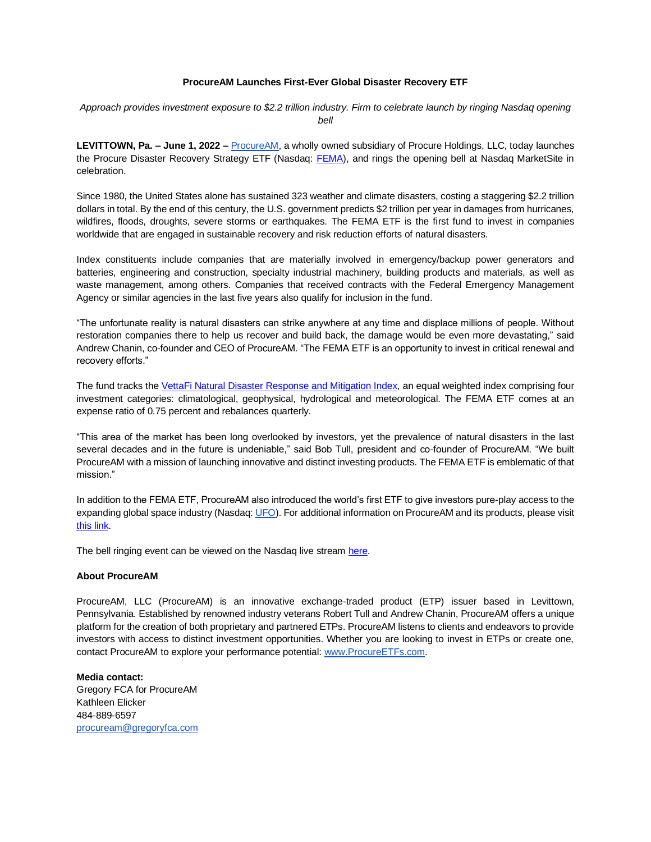## **ProcureAM Launches First-Ever Global Disaster Recovery ETF**

*Approach provides investment exposure to \$2.2 trillion industry. Firm to celebrate launch by ringing Nasdaq opening bell* 

**LEVITTOWN, Pa. – June 1, 2022 –** [ProcureAM,](https://procureetfs.com/) a wholly owned subsidiary of Procure Holdings, LLC, today launches the Procure Disaster Recovery Strategy ETF (Nasdaq: [FEMA\)](https://procureetfs.com/fema/), and rings the opening bell at Nasdaq MarketSite in celebration.

Since 1980, the United States alone has sustained 323 weather and climate disasters, costing a staggering \$2.2 trillion dollars in total. By the end of this century, the U.S. government predicts \$2 trillion per year in damages from hurricanes, wildfires, floods, droughts, severe storms or earthquakes. The FEMA ETF is the first fund to invest in companies worldwide that are engaged in sustainable recovery and risk reduction efforts of natural disasters.

Index constituents include companies that are materially involved in emergency/backup power generators and batteries, engineering and construction, specialty industrial machinery, building products and materials, as well as waste management, among others. Companies that received contracts with the Federal Emergency Management Agency or similar agencies in the last five years also qualify for inclusion in the fund.

"The unfortunate reality is natural disasters can strike anywhere at any time and displace millions of people. Without restoration companies there to help us recover and build back, the damage would be even more devastating," said Andrew Chanin, co-founder and CEO of ProcureAM. "The FEMA ETF is an opportunity to invest in critical renewal and recovery efforts."

The fund tracks the [VettaFi Natural Disaster Response and Mitigation Index,](https://snetworkglobalindexes.com/indexes/the-vettafi-natural-disaster-recovery-and-mitigation-index/data/constituentdata/vffema) an equal weighted index comprising four investment categories: climatological, geophysical, hydrological and meteorological. The FEMA ETF comes at an expense ratio of 0.75 percent and rebalances quarterly.

"This area of the market has been long overlooked by investors, yet the prevalence of natural disasters in the last several decades and in the future is undeniable," said Bob Tull, president and co-founder of ProcureAM. "We built ProcureAM with a mission of launching innovative and distinct investing products. The FEMA ETF is emblematic of that mission."

In addition to the FEMA ETF, ProcureAM also introduced the world's first ETF to give investors pure-play access to the expanding global space industry (Nasdaq[: UFO\)](https://procureetfs.com/ufo/). For additional information on ProcureAM and its products, please visit [this link.](http://www.procureetfs.com/)

The bell ringing event can be viewed on the Nasdaq live strea[m here.](https://www.nasdaq.com/marketsite/bell-ringing-ceremony)

## **About ProcureAM**

ProcureAM, LLC (ProcureAM) is an innovative exchange-traded product (ETP) issuer based in Levittown, Pennsylvania. Established by renowned industry veterans Robert Tull and Andrew Chanin, ProcureAM offers a unique platform for the creation of both proprietary and partnered ETPs. ProcureAM listens to clients and endeavors to provide investors with access to distinct investment opportunities. Whether you are looking to invest in ETPs or create one, contact ProcureAM to explore your performance potential: [www.ProcureETFs.com.](http://www.procureetfs.com/)

**Media contact:** Gregory FCA for ProcureAM Kathleen Elicker 484-889-6597 [procuream@gregoryfca.com](mailto:procuream@gregoryfca.com)